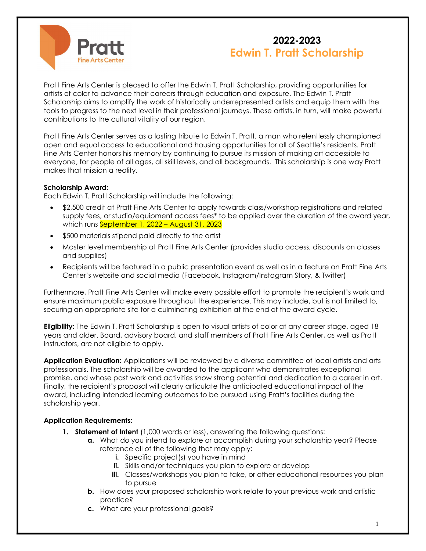

# 2022-2023 Edwin T. Pratt Scholarship

Pratt Fine Arts Center is pleased to offer the Edwin T. Pratt Scholarship, providing opportunities for artists of color to advance their careers through education and exposure. The Edwin T. Pratt Scholarship aims to amplify the work of historically underrepresented artists and equip them with the tools to progress to the next level in their professional journeys. These artists, in turn, will make powerful contributions to the cultural vitality of our region.

Pratt Fine Arts Center serves as a lasting tribute to Edwin T. Pratt, a man who relentlessly championed open and equal access to educational and housing opportunities for all of Seattle's residents. Pratt Fine Arts Center honors his memory by continuing to pursue its mission of making art accessible to everyone, for people of all ages, all skill levels, and all backgrounds. This scholarship is one way Pratt makes that mission a reality.

### Scholarship Award:

Each Edwin T. Pratt Scholarship will include the following:

- \$2,500 credit at Pratt Fine Arts Center to apply towards class/workshop registrations and related supply fees, or studio/equipment access fees\* to be applied over the duration of the award year, which runs September 1, 2022 – August 31, 2023
- \$500 materials stipend paid directly to the artist
- Master level membership at Pratt Fine Arts Center (provides studio access, discounts on classes and supplies)
- Recipients will be featured in a public presentation event as well as in a feature on Pratt Fine Arts Center's website and social media (Facebook, Instagram/Instagram Story, & Twitter)

Furthermore, Pratt Fine Arts Center will make every possible effort to promote the recipient's work and ensure maximum public exposure throughout the experience. This may include, but is not limited to, securing an appropriate site for a culminating exhibition at the end of the award cycle.

**Eligibility:** The Edwin T. Pratt Scholarship is open to visual artists of color at any career stage, aged 18 years and older. Board, advisory board, and staff members of Pratt Fine Arts Center, as well as Pratt instructors, are not eligible to apply.

Application Evaluation: Applications will be reviewed by a diverse committee of local artists and arts professionals. The scholarship will be awarded to the applicant who demonstrates exceptional promise, and whose past work and activities show strong potential and dedication to a career in art. Finally, the recipient's proposal will clearly articulate the anticipated educational impact of the award, including intended learning outcomes to be pursued using Pratt's facilities during the scholarship year.

### Application Requirements:

- 1. Statement of Intent (1,000 words or less), answering the following questions:
	- a. What do you intend to explore or accomplish during your scholarship year? Please reference all of the following that may apply:
		- i. Specific project(s) you have in mind
		- ii. Skills and/or techniques you plan to explore or develop
		- iii. Classes/workshops you plan to take, or other educational resources you plan to pursue
	- **b.** How does your proposed scholarship work relate to your previous work and artistic practice?
	- c. What are your professional goals?